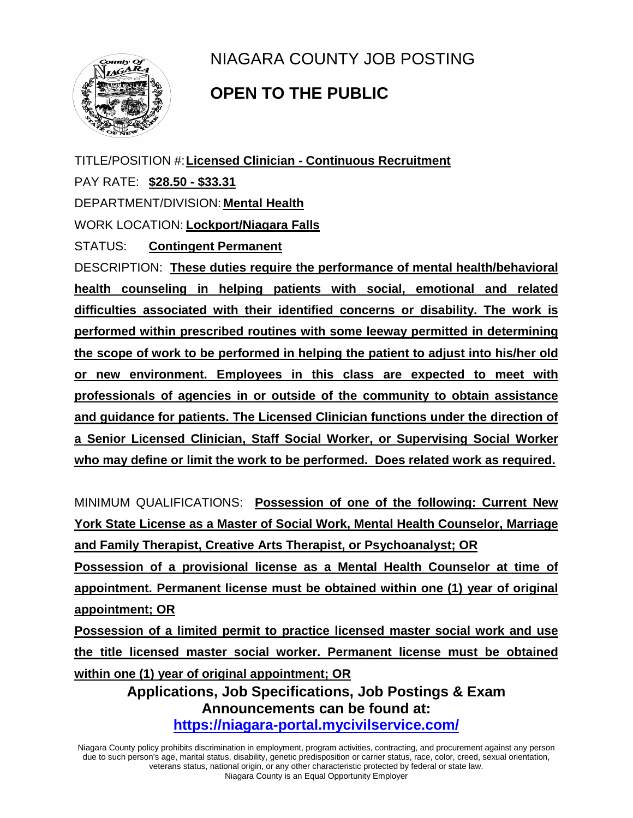

NIAGARA COUNTY JOB POSTING

## **OPEN TO THE PUBLIC**

TITLE/POSITION #:**Licensed Clinician - Continuous Recruitment** PAY RATE: **\$28.50 - \$33.31** DEPARTMENT/DIVISION: **Mental Health** WORK LOCATION: **Lockport/Niagara Falls** STATUS: **Contingent Permanent** DESCRIPTION: **These duties require the performance of mental health/behavioral health counseling in helping patients with social, emotional and related difficulties associated with their identified concerns or disability. The work is performed within prescribed routines with some leeway permitted in determining the scope of work to be performed in helping the patient to adjust into his/her old or new environment. Employees in this class are expected to meet with professionals of agencies in or outside of the community to obtain assistance and guidance for patients. The Licensed Clinician functions under the direction of a Senior Licensed Clinician, Staff Social Worker, or Supervising Social Worker who may define or limit the work to be performed. Does related work as required.**

MINIMUM QUALIFICATIONS: **Possession of one of the following: Current New York State License as a Master of Social Work, Mental Health Counselor, Marriage and Family Therapist, Creative Arts Therapist, or Psychoanalyst; OR**

**Possession of a provisional license as a Mental Health Counselor at time of appointment. Permanent license must be obtained within one (1) year of original appointment; OR**

**Possession of a limited permit to practice licensed master social work and use the title licensed master social worker. Permanent license must be obtained within one (1) year of original appointment; OR**

> **Applications, Job Specifications, Job Postings & Exam Announcements can be found at: <https://niagara-portal.mycivilservice.com/>**

Niagara County policy prohibits discrimination in employment, program activities, contracting, and procurement against any person due to such person's age, marital status, disability, genetic predisposition or carrier status, race, color, creed, sexual orientation, veterans status, national origin, or any other characteristic protected by federal or state law. Niagara County is an Equal Opportunity Employer